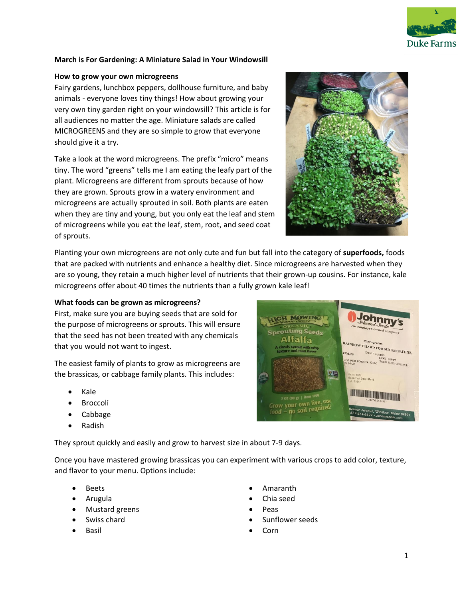

# **March is For Gardening: A Miniature Salad in Your Windowsill**

## **How to grow your own microgreens**

Fairy gardens, lunchbox peppers, dollhouse furniture, and baby animals - everyone loves tiny things! How about growing your very own tiny garden right on your windowsill? This article is for all audiences no matter the age. Miniature salads are called MICROGREENS and they are so simple to grow that everyone should give it a try.

Take a look at the word microgreens. The prefix "micro" means tiny. The word "greens" tells me I am eating the leafy part of the plant. Microgreens are different from sprouts because of how they are grown. Sprouts grow in a watery environment and microgreens are actually sprouted in soil. Both plants are eaten when they are tiny and young, but you only eat the leaf and stem of microgreens while you eat the leaf, stem, root, and seed coat of sprouts.



Planting your own microgreens are not only cute and fun but fall into the category of **superfoods,** foods that are packed with nutrients and enhance a healthy diet. Since microgreens are harvested when they are so young, they retain a much higher level of nutrients that their grown-up cousins. For instance, kale microgreens offer about 40 times the nutrients than a fully grown kale leaf!

# **What foods can be grown as microgreens?**

First, make sure you are buying seeds that are sold for the purpose of microgreens or sprouts. This will ensure that the seed has not been treated with any chemicals that you would not want to ingest.

The easiest family of plants to grow as microgreens are the brassicas, or cabbage family plants. This includes:

- Kale
- **Broccoli**
- Cabbage
- Radish

They sprout quickly and easily and grow to harvest size in about 7-9 days.

Once you have mastered growing brassicas you can experiment with various crops to add color, texture, and flavor to your menu. Options include:

- Beets
- Arugula
- Mustard greens
- Swiss chard
- **Basil**
- Amaranth
- Chia seed
- Peas
- Sunflower seeds
- Corn

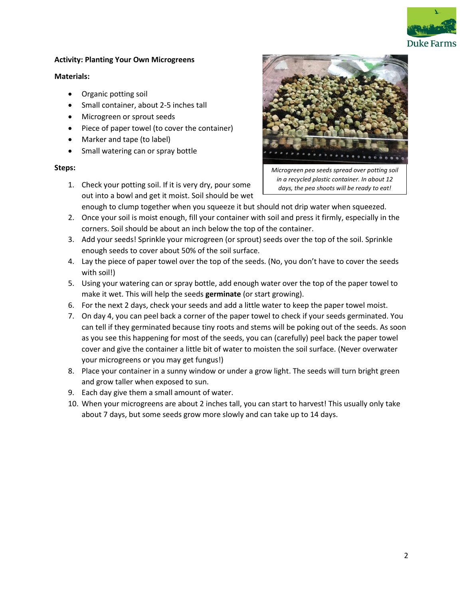

## **Activity: Planting Your Own Microgreens**

#### **Materials:**

- Organic potting soil
- Small container, about 2-5 inches tall
- Microgreen or sprout seeds
- Piece of paper towel (to cover the container)
- Marker and tape (to label)
- Small watering can or spray bottle

## **Steps:**

1. Check your potting soil. If it is very dry, pour some out into a bowl and get it moist. Soil should be wet



*Microgreen pea seeds spread over potting soil in a recycled plastic container. In about 12 days, the pea shoots will be ready to eat!*

enough to clump together when you squeeze it but should not drip water when squeezed.

- 2. Once your soil is moist enough, fill your container with soil and press it firmly, especially in the corners. Soil should be about an inch below the top of the container.
- 3. Add your seeds! Sprinkle your microgreen (or sprout) seeds over the top of the soil. Sprinkle enough seeds to cover about 50% of the soil surface.
- 4. Lay the piece of paper towel over the top of the seeds. (No, you don't have to cover the seeds with soil!)
- 5. Using your watering can or spray bottle, add enough water over the top of the paper towel to make it wet. This will help the seeds **germinate** (or start growing).
- 6. For the next 2 days, check your seeds and add a little water to keep the paper towel moist.
- 7. On day 4, you can peel back a corner of the paper towel to check if your seeds germinated. You can tell if they germinated because tiny roots and stems will be poking out of the seeds. As soon as you see this happening for most of the seeds, you can (carefully) peel back the paper towel cover and give the container a little bit of water to moisten the soil surface. (Never overwater your microgreens or you may get fungus!)
- 8. Place your container in a sunny window or under a grow light. The seeds will turn bright green and grow taller when exposed to sun.
- 9. Each day give them a small amount of water.
- 10. When your microgreens are about 2 inches tall, you can start to harvest! This usually only take about 7 days, but some seeds grow more slowly and can take up to 14 days.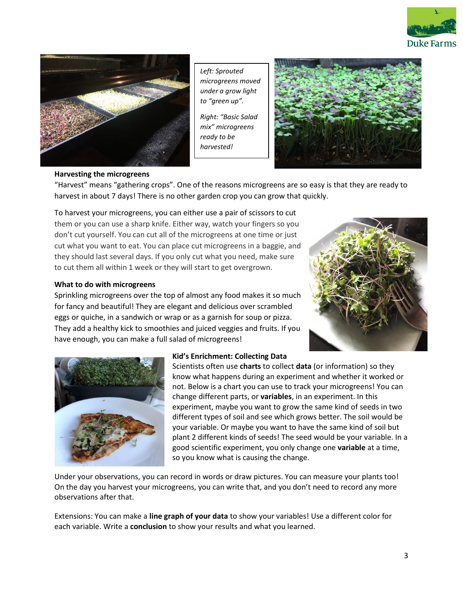



*Left: Sprouted microgreens moved under a grow light to "green up".*

*Right: "Basic Salad mix" microgreens ready to be harvested!*



#### **Harvesting the microgreens**

"Harvest" means "gathering crops". One of the reasons microgreens are so easy is that they are ready to harvest in about 7 days! There is no other garden crop you can grow that quickly.

To harvest your microgreens, you can either use a pair of scissors to cut them or you can use a sharp knife. Either way, watch your fingers so you don't cut yourself. You can cut all of the microgreens at one time or just cut what you want to eat. You can place cut microgreens in a baggie, and they should last several days. If you only cut what you need, make sure to cut them all within 1 week or they will start to get overgrown.

#### **What to do with microgreens**

Sprinkling microgreens over the top of almost any food makes it so much for fancy and beautiful! They are elegant and delicious over scrambled eggs or quiche, in a sandwich or wrap or as a garnish for soup or pizza. They add a healthy kick to smoothies and juiced veggies and fruits. If you have enough, you can make a full salad of microgreens!





# **Kid's Enrichment: Collecting Data**

Scientists often use **charts** to collect **data** (or information) so they know what happens during an experiment and whether it worked or not. Below is a chart you can use to track your microgreens! You can change different parts, or **variables**, in an experiment. In this experiment, maybe you want to grow the same kind of seeds in two different types of soil and see which grows better. The soil would be your variable. Or maybe you want to have the same kind of soil but plant 2 different kinds of seeds! The seed would be your variable. In a good scientific experiment, you only change one **variable** at a time, so you know what is causing the change.

Under your observations, you can record in words or draw pictures. You can measure your plants too! On the day you harvest your microgreens, you can write that, and you don't need to record any more observations after that.

Extensions: You can make a **line graph of your data** to show your variables! Use a different color for each variable. Write a **conclusion** to show your results and what you learned.